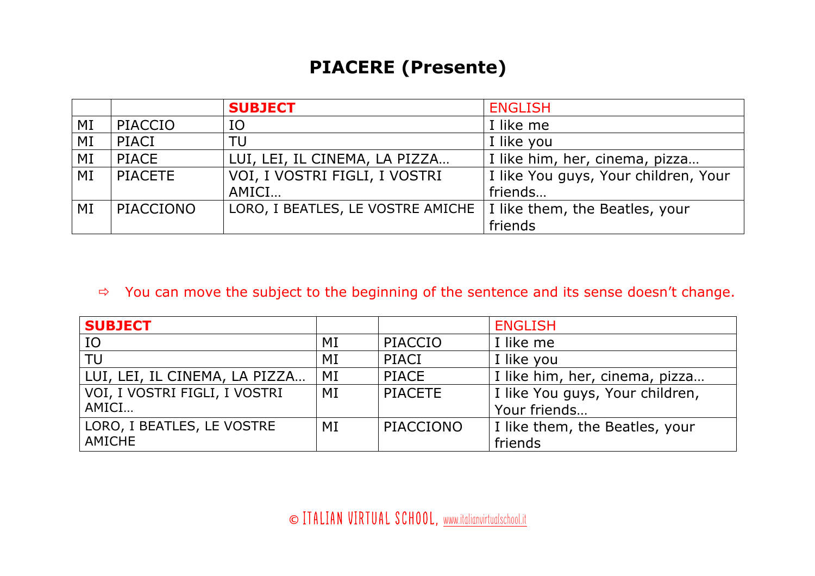## **PIACERE (Presente)**

|    |                | <b>SUBJECT</b>                    | <b>ENGLISH</b>                       |
|----|----------------|-----------------------------------|--------------------------------------|
| MI | PIACCIO        | IO                                | I like me                            |
| MI | PIACI          | TU                                | I like you                           |
| MI | PIACE          | LUI, LEI, IL CINEMA, LA PIZZA     | I like him, her, cinema, pizza       |
| MI | <b>PIACETE</b> | VOI, I VOSTRI FIGLI, I VOSTRI     | I like You guys, Your children, Your |
|    |                | AMICI                             | friends                              |
| MI | PIACCIONO      | LORO, I BEATLES, LE VOSTRE AMICHE | I like them, the Beatles, your       |
|    |                |                                   | friends                              |

## $\Rightarrow$  You can move the subject to the beginning of the sentence and its sense doesn't change.

| <b>SUBJECT</b>                |    |                | <b>ENGLISH</b>                  |
|-------------------------------|----|----------------|---------------------------------|
| IO                            | MI | PIACCIO        | I like me                       |
| TU                            | MI | PIACI          | I like you                      |
| LUI, LEI, IL CINEMA, LA PIZZA | MI | PIACE          | I like him, her, cinema, pizza  |
| VOI, I VOSTRI FIGLI, I VOSTRI | MI | <b>PIACETE</b> | I like You guys, Your children, |
| AMICI                         |    |                | Your friends                    |
| LORO, I BEATLES, LE VOSTRE    | MI | PIACCIONO      | I like them, the Beatles, your  |
| <b>AMICHE</b>                 |    |                | friends                         |